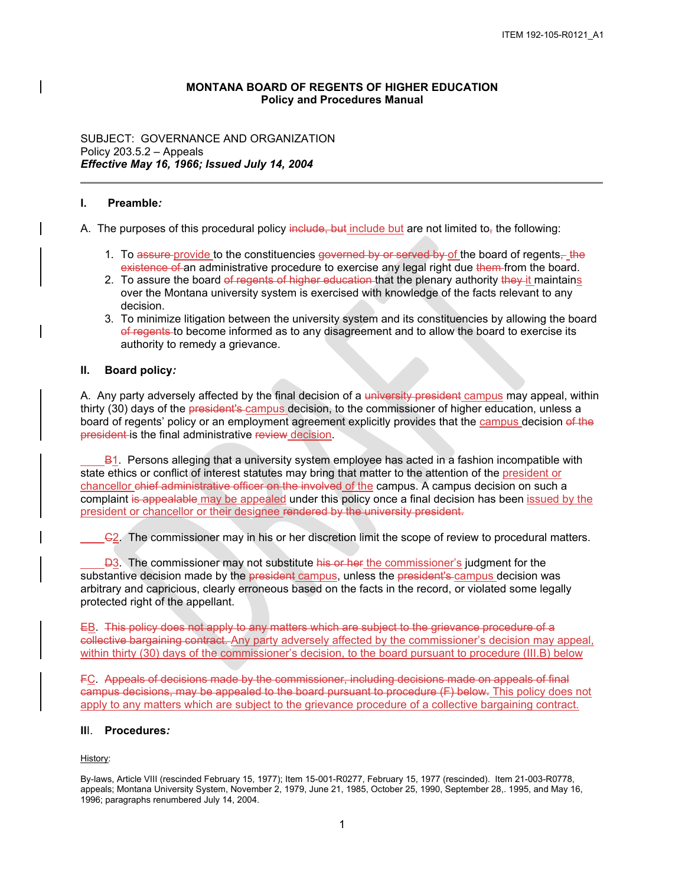# **MONTANA BOARD OF REGENTS OF HIGHER EDUCATION Policy and Procedures Manual**

*\_\_\_\_\_\_\_\_\_\_\_\_\_\_\_\_\_\_\_\_\_\_\_\_\_\_\_\_\_\_\_\_\_\_\_\_\_\_\_\_\_\_\_\_\_\_\_\_\_\_\_\_\_\_\_\_\_\_\_\_\_\_\_\_\_\_\_\_\_\_\_\_\_\_\_\_\_\_\_\_\_\_\_\_* 

SUBJECT: GOVERNANCE AND ORGANIZATION Policy 203.5.2 – Appeals *Effective May 16, 1966; Issued July 14, 2004* 

#### **I. Preamble***:*

A. The purposes of this procedural policy include, but include but are not limited to, the following:

- 1. To <del>assure provide</del> to the constituencies <del>governed by or served by o</del>f the board of regents<del>, the</del> <del>existence of </del>an administrative procedure to exercise any legal right due <del>them </del>from the board.
- over the Montana university system is exercised with knowledge of the facts relevant to any 2. To assure the board of regents of higher education that the plenary authority they it maintains decision.
- <del>of regents t</del>o become informed as to any disagreement and to allow the board to exercise its authority to remedy a grievance. 3. To minimize litigation between the university system and its constituencies by allowing the board

#### **II. Board policy***:*

A. Any party adversely affected by the final decision of a <del>university president</del> <u>campus</u> may appeal, within thirty (30) days of the president's campus decision, to the commissioner of higher education, unless a board of regents' policy or an employment agreement explicitly provides that the campus decision of the president is the final administrative review decision.

state ethics or conflict of interest statutes may bring that matter to the attention of the president or president or chancellor or their designee rendered by the university president. B<sub>1</sub>. Persons alleging that a university system employee has acted in a fashion incompatible with chancellor chief administrative officer on the involved of the campus. A campus decision on such a complaint is appealable may be appealed under this policy once a final decision has been issued by the

C2. The commissioner may in his or her discretion limit the scope of review to procedural matters.

protected right of the appellant. arbitrary and capricious, clearly erroneous based on the facts in the record, or violated some legally  $\overline{D3}$ . The commissioner may not substitute his or her the commissioner's judgment for the substantive decision made by the president campus, unless the president's campus decision was

 EB. This policy does not apply to any matters which are subject to the grievance procedure of a collective bargaining contract. Any party adversely affected by the commissioner's decision may appeal, within thirty (30) days of the commissioner's decision, to the board pursuant to procedure (III.B) below

apply to any matters which are subject to the grievance procedure of a collective bargaining contract. FC. Appeals of decisions made by the commissioner, including decisions made on appeals of final campus decisions, may be appealed to the board pursuant to procedure (F) below. This policy does not

# **II**I. **Procedures***:*

History:

By-laws, Article VIII (rescinded February 15, 1977); Item 15-001-R0277, February 15, 1977 (rescinded). Item 21-003-R0778, appeals; Montana University System, November 2, 1979, June 21, 1985, October 25, 1990, September 28,. 1995, and May 16, 1996; paragraphs renumbered July 14, 2004.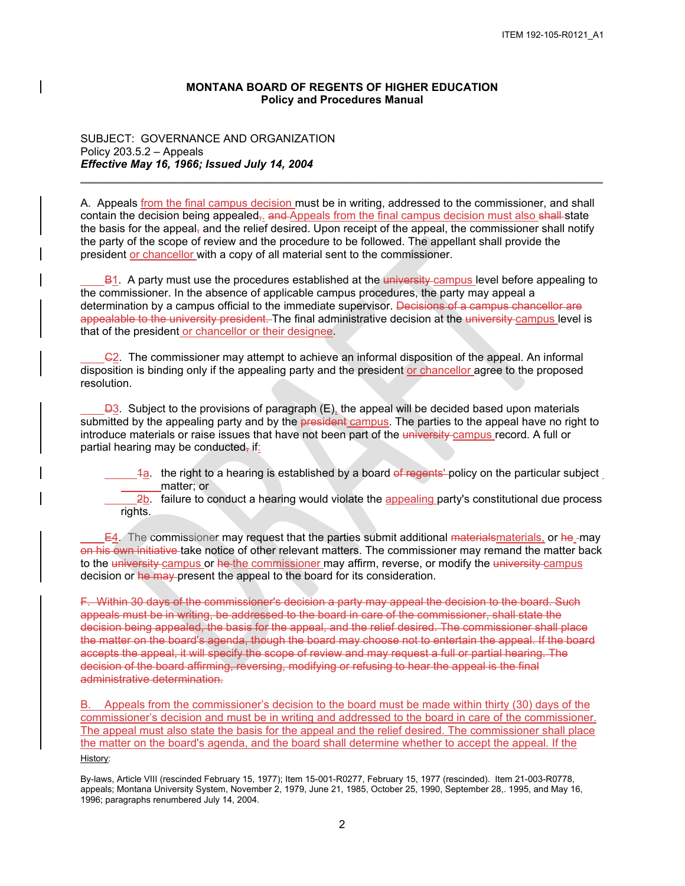# **MONTANA BOARD OF REGENTS OF HIGHER EDUCATION Policy and Procedures Manual**

SUBJECT: GOVERNANCE AND ORGANIZATION Policy 203.5.2 – Appeals *Effective May 16, 1966; Issued July 14, 2004* 

the party of the scope of review and the procedure to be followed. The appellant shall provide the president or chancellor with a copy of all material sent to the commissioner. contain the decision being appealed<del>, and Appeals from the final campus decision must also shall s</del>tate the basis for the appeal<del>,</del> and the relief desired. Upon receipt of the appeal, the commissioner shall notify A. Appeals from the final campus decision must be in writing, addressed to the commissioner, and shall

*\_\_\_\_\_\_\_\_\_\_\_\_\_\_\_\_\_\_\_\_\_\_\_\_\_\_\_\_\_\_\_\_\_\_\_\_\_\_\_\_\_\_\_\_\_\_\_\_\_\_\_\_\_\_\_\_\_\_\_\_\_\_\_\_\_\_\_\_\_\_\_\_\_\_\_\_\_\_\_\_\_\_\_\_* 

B1. A party must use the procedures established at the university campus level before appealing to the commissioner. In the absence of applicable campus procedures, the party may appeal a determination by a campus official to the immediate supervisor. <del>Decisions of a campus chancellor are</del> a<del>ppealable to the university president. </del>The final administrative decision at the <del>university <u>campus</u> l</del>evel is that of the president or chancellor or their designee.

 $C<sub>2</sub>$ . The commissioner may attempt to achieve an informal disposition of the appeal. An informal disposition is binding only if the appealing party and the president or chancellor agree to the proposed resolution.

 $\overline{B3}$ . Subject to the provisions of paragraph (E), the appeal will be decided based upon materials submitted by the appealing party and by the <del>president campus</del>. The parties to the appeal have no right to introduce materials or raise issues that have not been part of the university campus record. A full or partial hearing may be conducted, if:

- 1a. the right to a hearing is established by a board of regents' policy on the particular subject matter; or  $\overline{a}$  $\overline{a}$
- $2b$ . failure to conduct a hearing would violate the appealing party's constitutional due process rights.  $\overline{a}$

 $E4$ . The commissioner may request that the parties submit additional <del>materials<u>materials</u>,</del> or he\_may on his own initiative take notice of other relevant matters. The commissioner may remand the matter back i to the <del>university campus</del> or <del>he the commissioner m</del>ay affirm, reverse, or modify the <del>university campus</del> decision or he may present the appeal to the board for its consideration.

decision or <del>he may</del>-present the appeal to the board for its consideration.<br>F. Within 30 days of the commissioner's decision a party may appeal the decision to the board. Such appeals must be in writing, be addressed to the board in care of the commissioner, shall state the the matter on the board's agenda, though the board may choose not to entertain the appeal. If the board decision being appealed, the basis for the appeal, and the relief desired. The commissioner shall place accepts the appeal, it will specify the scope of review and may request a full or partial hearing. The decision of the board affirming, reversing, modifying or refusing to hear the appeal is the final administrative determination.

 B. Appeals from the commissioner's decision to the board must be made within thirty (30) days of the the matter on the board's agenda, and the board shall determine whether to accept the appeal. If the commissioner's decision and must be in writing and addressed to the board in care of the commissioner. The appeal must also state the basis for the appeal and the relief desired. The commissioner shall place History:

By-laws, Article VIII (rescinded February 15, 1977); Item 15-001-R0277, February 15, 1977 (rescinded). Item 21-003-R0778, appeals; Montana University System, November 2, 1979, June 21, 1985, October 25, 1990, September 28,. 1995, and May 16, 1996; paragraphs renumbered July 14, 2004.